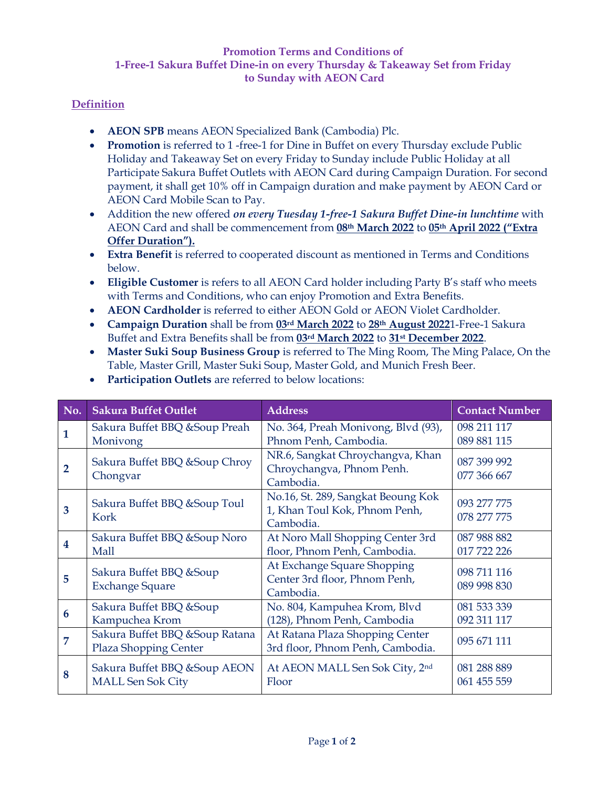## **Promotion Terms and Conditions of 1-Free-1 Sakura Buffet Dine-in on every Thursday & Takeaway Set from Friday to Sunday with AEON Card**

## **Definition**

- **AEON SPB** means AEON Specialized Bank (Cambodia) Plc.
- **Promotion** is referred to 1 -free-1 for Dine in Buffet on every Thursday exclude Public Holiday and Takeaway Set on every Friday to Sunday include Public Holiday at all Participate Sakura Buffet Outlets with AEON Card during Campaign Duration. For second payment, it shall get 10% off in Campaign duration and make payment by AEON Card or AEON Card Mobile Scan to Pay.
- Addition the new offered *on every Tuesday 1-free-1 Sakura Buffet Dine-in lunchtime* with AEON Card and shall be commencement from **08th March 2022** to **05th April 2022 ("Extra Offer Duration").**
- **Extra Benefit** is referred to cooperated discount as mentioned in Terms and Conditions below.
- **Eligible Customer** is refers to all AEON Card holder including Party B's staff who meets with Terms and Conditions, who can enjoy Promotion and Extra Benefits.
- **AEON Cardholder** is referred to either AEON Gold or AEON Violet Cardholder.
- **Campaign Duration** shall be from **03rd March 2022** to **28th August 2022**1-Free-1 Sakura Buffet and Extra Benefits shall be from **03rd March 2022** to **31st December 2022**.
- **Master Suki Soup Business Group** is referred to The Ming Room, The Ming Palace, On the Table, Master Grill, Master Suki Soup, Master Gold, and Munich Fresh Beer.

| No.          | <b>Sakura Buffet Outlet</b>                               | <b>Address</b>                                                                   | <b>Contact Number</b>      |
|--------------|-----------------------------------------------------------|----------------------------------------------------------------------------------|----------------------------|
| 1            | Sakura Buffet BBQ & Soup Preah<br>Monivong                | No. 364, Preah Monivong, Blvd (93),<br>Phnom Penh, Cambodia.                     | 098 211 117<br>089 881 115 |
| $\mathbf{2}$ | Sakura Buffet BBQ & Soup Chroy<br>Chongvar                | NR.6, Sangkat Chroychangva, Khan<br>Chroychangva, Phnom Penh.<br>Cambodia.       | 087 399 992<br>077 366 667 |
| 3            | Sakura Buffet BBQ & Soup Toul<br>Kork                     | No.16, St. 289, Sangkat Beoung Kok<br>1, Khan Toul Kok, Phnom Penh,<br>Cambodia. | 093 277 775<br>078 277 775 |
| 4            | Sakura Buffet BBQ & Soup Noro<br>Mall                     | At Noro Mall Shopping Center 3rd<br>floor, Phnom Penh, Cambodia.                 | 087 988 882<br>017 722 226 |
| 5            | Sakura Buffet BBQ & Soup<br><b>Exchange Square</b>        | At Exchange Square Shopping<br>Center 3rd floor, Phnom Penh,<br>Cambodia.        | 098 711 116<br>089 998 830 |
| 6            | Sakura Buffet BBQ & Soup<br>Kampuchea Krom                | No. 804, Kampuhea Krom, Blvd<br>(128), Phnom Penh, Cambodia                      | 081 533 339<br>092 311 117 |
| 7            | Sakura Buffet BBQ & Soup Ratana<br>Plaza Shopping Center  | At Ratana Plaza Shopping Center<br>3rd floor, Phnom Penh, Cambodia.              | 095 671 111                |
| 8            | Sakura Buffet BBQ & Soup AEON<br><b>MALL Sen Sok City</b> | At AEON MALL Sen Sok City, 2nd<br>Floor                                          | 081 288 889<br>061 455 559 |

• **Participation Outlets** are referred to below locations: